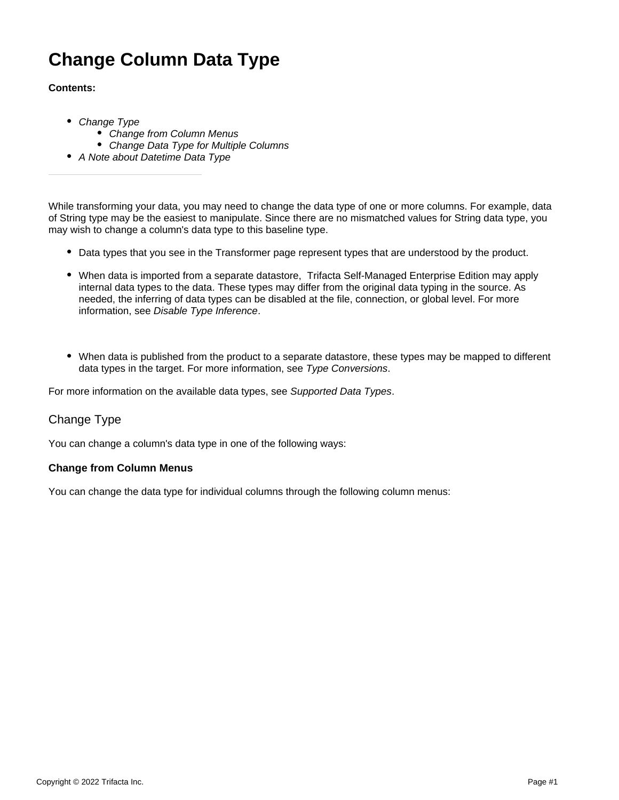# **Change Column Data Type**

# **Contents:**

- [Change Type](#page-0-0)
	- [Change from Column Menus](#page-0-1)
	- Change Data Type for Multiple Columns
- [A Note about Datetime Data Type](#page-1-1)

While transforming your data, you may need to change the data type of one or more columns. For example, data of String type may be the easiest to manipulate. Since there are no mismatched values for String data type, you may wish to change a column's data type to this baseline type.

- Data types that you see in the Transformer page represent types that are understood by the product.
- When data is imported from a separate datastore, Trifacta Self-Managed Enterprise Edition may apply internal data types to the data. These types may differ from the original data typing in the source. As needed, the inferring of data types can be disabled at the file, connection, or global level. For more information, see [Disable Type Inference](https://docs.trifacta.com/display/r068/Disable+Type+Inference).
- When data is published from the product to a separate datastore, these types may be mapped to different data types in the target. For more information, see [Type Conversions](https://docs.trifacta.com/display/r068/Type+Conversions).

For more information on the available data types, see [Supported Data Types](https://docs.trifacta.com/display/r068/Supported+Data+Types).

# <span id="page-0-0"></span>Change Type

You can change a column's data type in one of the following ways:

#### <span id="page-0-1"></span>**Change from Column Menus**

You can change the data type for individual columns through the following column menus: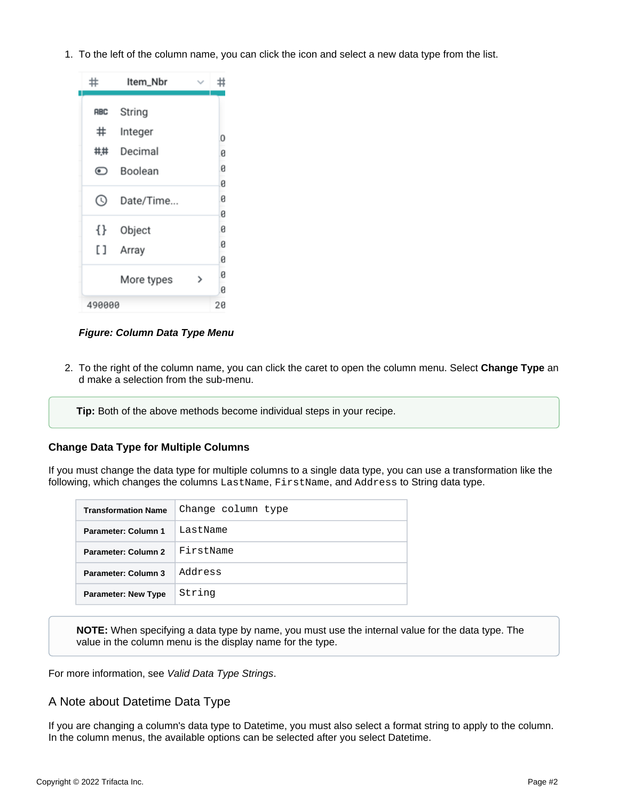1. To the left of the column name, you can click the icon and select a new data type from the list.



# **Figure: Column Data Type Menu**

2. To the right of the column name, you can click the caret to open the column menu. Select **Change Type** an d make a selection from the sub-menu.

**Tip:** Both of the above methods become individual steps in your recipe.

# <span id="page-1-0"></span>**Change Data Type for Multiple Columns**

If you must change the data type for multiple columns to a single data type, you can use a transformation like the following, which changes the columns LastName, FirstName, and Address to String data type.

| <b>Transformation Name</b> | Change column type |
|----------------------------|--------------------|
| Parameter: Column 1        | LastName           |
| Parameter: Column 2        | FirstName          |
| Parameter: Column 3        | Address            |
| <b>Parameter: New Type</b> | String             |

**NOTE:** When specifying a data type by name, you must use the internal value for the data type. The value in the column menu is the display name for the type.

For more information, see [Valid Data Type Strings](https://docs.trifacta.com/display/r068/Valid+Data+Type+Strings).

# <span id="page-1-1"></span>A Note about Datetime Data Type

If you are changing a column's data type to Datetime, you must also select a format string to apply to the column. In the column menus, the available options can be selected after you select Datetime.